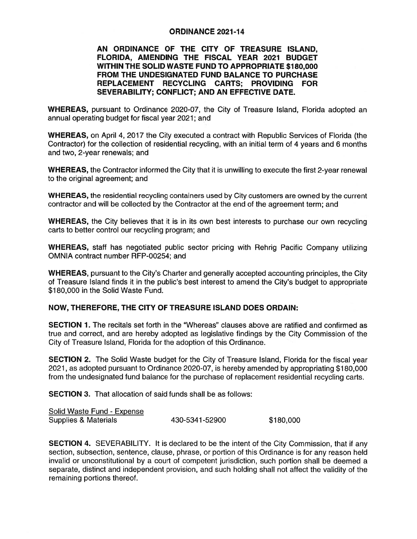## ORDINANCE 2021-14

AN ORDINANCE OF THE CITY OF TREASURE ISLAND, FLORIDA, AMENDING THE FISCAL YEAR 2021 BUDGET WITHIN THE SOLID WASTE FUND TO APPROPRIATE \$180,000 FROM THE UNDESIGNATED FUND BALANCE TO PURCHASE REPLACEMENT RECYCLING CARTS; PROVIDING FOR SEVERABILITY; CONFLICT; AND AN EFFECTIVE DATE.

WHEREAS, pursuan<sup>t</sup> to Ordinance 2020-07, the City of Treasure Island, Florida adopted an annual operating budget for fiscal year 2021; and

WHEREAS, on April 4, 2017 the City executed <sup>a</sup> contract with Republic Services of Florida (the Contractor) for the collection of residential recycling, with an initial term of 4 years and 6 months and two, 2-year renewals; and

WHEREAS, the Contractor informed the City that it is unwilling to execute the first 2-year renewal to the original agreement; and

WHEREAS, the residential recycling containers used by City customers are owned by the current contractor and will be collected by the Contractor at the end of the agreemen<sup>t</sup> term; and

WHEREAS, the City believes that it is in its own best interests to purchase our own recycling carts to better control our recycling program; and

WHEREAS, staff has negotiated public sector pricing with Rehrig Pacific Company utilizing OMNIA contract number RFP-00254; and

WHEREAS, pursuan<sup>t</sup> to the City's Charter and generally accepted accounting principles, the City of Treasure Island finds it in the public's best interest to amend the City's budget to appropriate \$180,000 in the Solid Waste Fund.

## NOW, THEREFORE, THE CITY OF TREASURE ISLAND DOES ORDAIN:

SECTION 1. The recitals set forth in the "Whereas" clauses above are ratified and confirmed as true and correct, and are hereby adopted as legislative findings by the City Commission of the City of Treasure Island, Florida for the adoption of this Ordinance.

SECTION 2. The Solid Waste budget for the City of Treasure Island, Florida for the fiscal year 2021, as adopted pursuan<sup>t</sup> to Ordinance 2020-07, is hereby amended by appropriating \$1 80,000 from the undesignated fund balance for the purchase of replacement residential recycling carts.

SECTION 3. That allocation of said funds shall be as follows:

| Solid Waste Fund - Expense |                |           |
|----------------------------|----------------|-----------|
| Supplies & Materials       | 430-5341-52900 | \$180,000 |

SECTION 4. SEVERABILITY. It is declared to be the intent of the City Commission, that if any section, subsection, sentence, clause, phrase, or portion of this Ordinance is for any reason held invalid or unconstitutional by <sup>a</sup> court of competent jurisdiction, such portion shall be deemed <sup>a</sup> separate, distinct and independent provision, and such holding shall not affect the validity of the remaining portions thereof.